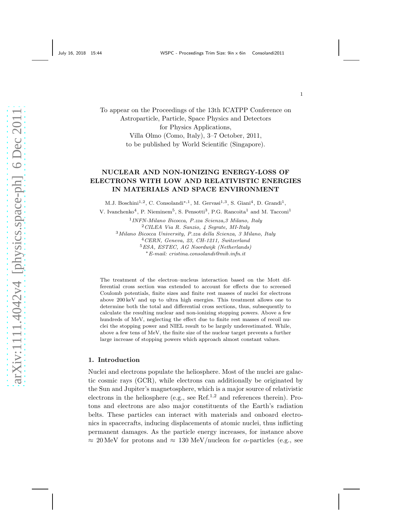To appear on the Proceedings of the 13th ICATPP Conference on Astroparticle, Particle, Space Physics and Detectors for Physics Applications, Villa Olmo (Como, Italy), 3–7 October, 2011, to be published by World Scientific (Singapore).

# NUCLEAR AND NON-IONIZING ENERGY-LOSS OF ELECTRONS WITH LOW AND RELATIVISTIC ENERGIES IN MATERIALS AND SPACE ENVIRONMENT

M.J. Boschini<sup>1,2</sup>, C. Consolandi<sup>\*,1</sup>, M. Gervasi<sup>1,3</sup>, S. Giani<sup>4</sup>, D. Grandi<sup>1</sup>,

V. Ivanchenko<sup>4</sup>, P. Nieminem<sup>5</sup>, S. Pensotti<sup>3</sup>, P.G. Rancoita<sup>1</sup> and M. Tacconi<sup>1</sup>

 *INFN-Milano Bicocca, P.zza Scienza,3 Milano, Italy CILEA Via R. Sanzio, 4 Segrate, MI-Italy Milano Bicocca University, P.zza della Scienza, 3 Milano, Italy CERN, Geneva, 23, CH-1211, Switzerland ESA, ESTEC, AG Noordwijk (Netherlands)* <sup>∗</sup>*E-mail: cristina.consolandi@mib.infn.it*

The treatment of the electron–nucleus interaction based on the Mott differential cross section was extended to account for effects due to screened Coulomb potentials, finite sizes and finite rest masses of nuclei for electrons above 200 keV and up to ultra high energies. This treatment allows one to determine both the total and differential cross sections, thus, subsequently to calculate the resulting nuclear and non-ionizing stopping powers. Above a few hundreds of MeV, neglecting the effect due to finite rest masses of recoil nuclei the stopping power and NIEL result to be largely underestimated. While, above a few tens of MeV, the finite size of the nuclear target prevents a further large increase of stopping powers which approach almost constant values.

#### 1. Introduction

Nuclei and electrons populate the heliosphere. Most of the nuclei are galactic cosmic rays (GCR), while electrons can additionally be originated by the Sun and Jupiter's magnetosphere, which is a major source of relativistic electrons in the heliosphere (e.g., see Ref.<sup>1,2</sup> and references therein). Protons and electrons are also major constituents of the Earth's radiation belts. These particles can interact with materials and onboard electronics in spacecrafts, inducing displacements of atomic nuclei, thus inflicting permanent damages. As the particle energy increases, for instance above  $\approx 20 \,\text{MeV}$  for protons and  $\approx 130 \,\text{MeV/nucleon}$  for  $\alpha$ -particles (e.g., see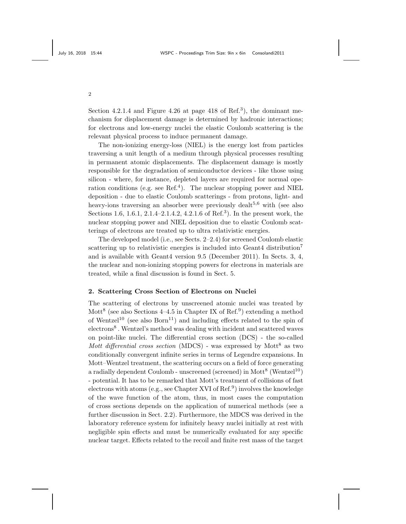Section 4.2.1.4 and Figure 4.26 at page 418 of Ref.<sup>3</sup>), the dominant mechanism for displacement damage is determined by hadronic interactions; for electrons and low-energy nuclei the elastic Coulomb scattering is the relevant physical process to induce permanent damage.

The non-ionizing energy-loss (NIEL) is the energy lost from particles traversing a unit length of a medium through physical processes resulting in permanent atomic displacements. The displacement damage is mostly responsible for the degradation of semiconductor devices - like those using silicon - where, for instance, depleted layers are required for normal operation conditions (e.g. see Ref.<sup>4</sup>). The nuclear stopping power and NIEL deposition - due to elastic Coulomb scatterings - from protons, light- and heavy-ions traversing an absorber were previously dealt<sup>5,6</sup> with (see also Sections 1.6, 1.6.1, 2.1.4–2.1.4.2, 4.2.1.6 of Ref.<sup>3</sup>). In the present work, the nuclear stopping power and NIEL deposition due to elastic Coulomb scatterings of electrons are treated up to ultra relativistic energies.

The developed model (i.e., see Sects. 2–2.4) for screened Coulomb elastic scattering up to relativistic energies is included into Geant4 distribution<sup>7</sup> and is available with Geant4 version 9.5 (December 2011). In Sects. 3, 4, the nuclear and non-ionizing stopping powers for electrons in materials are treated, while a final discussion is found in Sect. 5.

### 2. Scattering Cross Section of Electrons on Nuclei

The scattering of electrons by unscreened atomic nuclei was treated by Mott<sup>8</sup> (see also Sections 4–4.5 in Chapter IX of Ref.<sup>9</sup>) extending a method of Wentzel<sup>10</sup> (see also  $Born<sup>11</sup>$ ) and including effects related to the spin of electrons<sup>8</sup> . Wentzel's method was dealing with incident and scattered waves on point-like nuclei. The differential cross section (DCS) - the so-called Mott differential cross section (MDCS) - was expressed by  $Mott^8$  as two conditionally convergent infinite series in terms of Legendre expansions. In Mott–Wentzel treatment, the scattering occurs on a field of force generating a radially dependent Coulomb - unscreened (screened) in Mott<sup>8</sup> (Wentzel<sup>10</sup>) - potential. It has to be remarked that Mott's treatment of collisions of fast electrons with atoms (e.g., see Chapter XVI of Ref.<sup>9</sup>) involves the knowledge of the wave function of the atom, thus, in most cases the computation of cross sections depends on the application of numerical methods (see a further discussion in Sect. 2.2). Furthermore, the MDCS was derived in the laboratory reference system for infinitely heavy nuclei initially at rest with negligible spin effects and must be numerically evaluated for any specific nuclear target. Effects related to the recoil and finite rest mass of the target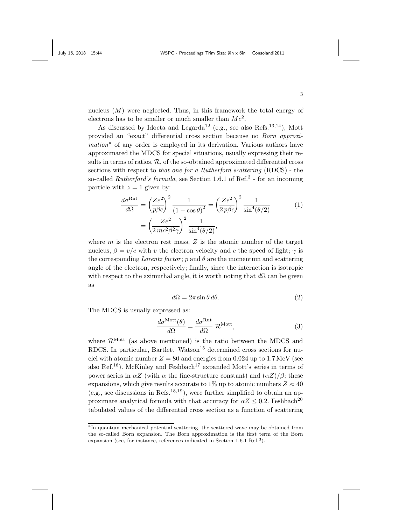nucleus  $(M)$  were neglected. Thus, in this framework the total energy of electrons has to be smaller or much smaller than  $Mc^2$ .

As discussed by Idoeta and Legarda<sup>12</sup> (e.g., see also Refs.<sup>13,14</sup>), Mott provided an "exact" differential cross section because no Born approxi $mation<sup>a</sup>$  of any order is employed in its derivation. Various authors have approximated the MDCS for special situations, usually expressing their results in terms of ratios,  $\mathcal{R}$ , of the so-obtained approximated differential cross sections with respect to *that one for a Rutherford scattering* (RDCS) - the so-called *Rutherford's formula*, see Section 1.6.1 of Ref.<sup>3</sup> - for an incoming particle with  $z = 1$  given by:

$$
\frac{d\sigma^{\text{Rut}}}{d\Omega} = \left(\frac{Ze^2}{p\beta c}\right)^2 \frac{1}{\left(1 - \cos\theta\right)^2} = \left(\frac{Ze^2}{2p\beta c}\right)^2 \frac{1}{\sin^4(\theta/2)}\n= \left(\frac{Ze^2}{2mc^2\beta^2\gamma}\right)^2 \frac{1}{\sin^4(\theta/2)},
$$
\n(1)

where  $m$  is the electron rest mass,  $Z$  is the atomic number of the target nucleus,  $\beta = v/c$  with v the electron velocity and c the speed of light;  $\gamma$  is the corresponding Lorentz factor; p and  $\theta$  are the momentum and scattering angle of the electron, respectively; finally, since the interaction is isotropic with respect to the azimuthal angle, it is worth noting that  $d\Omega$  can be given as

$$
d\Omega = 2\pi \sin \theta \, d\theta. \tag{2}
$$

The MDCS is usually expressed as:

$$
\frac{d\sigma^{\text{Mott}}(\theta)}{d\Omega} = \frac{d\sigma^{\text{Rut}}}{d\Omega} \mathcal{R}^{\text{Mott}},\tag{3}
$$

where  $\mathcal{R}^{\text{Mott}}$  (as above mentioned) is the ratio between the MDCS and RDCS. In particular, Bartlett–Watson<sup>15</sup> determined cross sections for nuclei with atomic number  $Z = 80$  and energies from 0.024 up to 1.7 MeV (see also Ref.<sup>16</sup>). McKinley and Feshbach<sup>17</sup> expanded Mott's series in terms of power series in  $\alpha Z$  (with  $\alpha$  the fine-structure constant) and  $(\alpha Z)/\beta$ ; these expansions, which give results accurate to 1% up to atomic numbers  $Z \approx 40$ (e.g., see discussions in Refs.<sup>18,19</sup>), were further simplified to obtain an approximate analytical formula with that accuracy for  $\alpha Z \leq 0.2$ . Feshbach<sup>20</sup> tabulated values of the differential cross section as a function of scattering

<sup>&</sup>lt;sup>a</sup>In quantum mechanical potential scattering, the scattered wave may be obtained from the so-called Born expansion. The Born approximation is the first term of the Born expansion (see, for instance, references indicated in Section 1.6.1 Ref.<sup>3</sup>).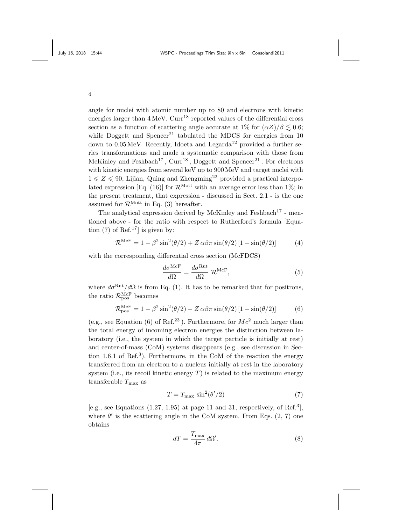angle for nuclei with atomic number up to 80 and electrons with kinetic energies larger than  $4 \text{ MeV}$ . Curr<sup>18</sup> reported values of the differential cross section as a function of scattering angle accurate at  $1\%$  for  $(\alpha Z)/\beta \leq 0.6$ ; while Doggett and Spencer<sup>21</sup> tabulated the MDCS for energies from  $10$ down to  $0.05 \,\text{MeV}$ . Recently, Idoeta and Legarda<sup>12</sup> provided a further series transformations and made a systematic comparison with those from McKinley and Feshbach<sup>17</sup>, Curr<sup>18</sup>, Doggett and Spencer<sup>21</sup>. For electrons with kinetic energies from several keV up to 900MeV and target nuclei with  $1 \leq Z \leq 90$ , Lijian, Quing and Zhengming<sup>22</sup> provided a practical interpolated expression [Eq. (16)] for  $\mathcal{R}^{\text{Mott}}$  with an average error less than 1%; in the present treatment, that expression - discussed in Sect. 2.1 - is the one assumed for  $\mathcal{R}^{\text{Mott}}$  in Eq. (3) hereafter.

The analytical expression derived by McKinley and Feshbach<sup>17</sup> - mentioned above - for the ratio with respect to Rutherford's formula [Equation  $(7)$  of Ref.<sup>17</sup> is given by:

$$
\mathcal{R}^{\text{McF}} = 1 - \beta^2 \sin^2(\theta/2) + Z \alpha \beta \pi \sin(\theta/2) \left[1 - \sin(\theta/2)\right] \tag{4}
$$

with the corresponding differential cross section (McFDCS)

$$
\frac{d\sigma^{\text{McF}}}{d\Omega} = \frac{d\sigma^{\text{Rut}}}{d\Omega} \mathcal{R}^{\text{McF}},
$$
\n(5)

where  $d\sigma^{\text{Rut}}/d\Omega$  is from Eq. (1). It has to be remarked that for positrons, the ratio  $\mathcal{R}_{\text{pos}}^{\text{McF}}$  becomes

$$
\mathcal{R}_{\text{pos}}^{\text{McF}} = 1 - \beta^2 \sin^2(\theta/2) - Z \alpha \beta \pi \sin(\theta/2) \left[1 - \sin(\theta/2)\right] \tag{6}
$$

(e.g., see Equation (6) of Ref.<sup>23</sup>). Furthermore, for  $Mc^2$  much larger than the total energy of incoming electron energies the distinction between laboratory (i.e., the system in which the target particle is initially at rest) and center-of-mass (CoM) systems disappears (e.g., see discussion in Section 1.6.1 of Ref.<sup>3</sup> ). Furthermore, in the CoM of the reaction the energy transferred from an electron to a nucleus initially at rest in the laboratory system (i.e., its recoil kinetic energy  $T$ ) is related to the maximum energy transferable  $T_{\rm max}$  as

$$
T = T_{\text{max}} \sin^2(\theta'/2) \tag{7}
$$

[e.g., see Equations  $(1.27, 1.95)$  at page 11 and 31, respectively, of Ref.<sup>3</sup>], where  $\theta'$  is the scattering angle in the CoM system. From Eqs.  $(2, 7)$  one obtains

$$
dT = \frac{T_{\text{max}}}{4\pi} d\Omega'.\tag{8}
$$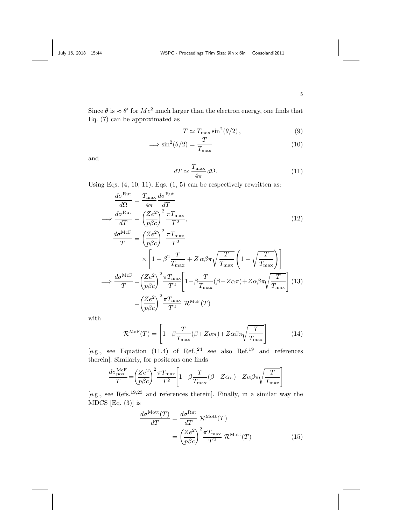Since  $\theta$  is  $\approx \theta'$  for  $Mc^2$  much larger than the electron energy, one finds that Eq. (7) can be approximated as

$$
T \simeq T_{\text{max}} \sin^2(\theta/2), \qquad (9)
$$

$$
\implies \sin^2(\theta/2) = \frac{T}{T_{\text{max}}} \tag{10}
$$

and

$$
dT \simeq \frac{T_{\text{max}}}{4\pi} \, d\Omega. \tag{11}
$$

Using Eqs.  $(4, 10, 11)$ , Eqs.  $(1, 5)$  can be respectively rewritten as:

$$
\frac{d\sigma^{\text{Rut}}}{d\Omega} = \frac{T_{\text{max}}}{4\pi} \frac{d\sigma^{\text{Rut}}}{dT}
$$
\n
$$
\implies \frac{d\sigma^{\text{Rut}}}{dT} = \left(\frac{Ze^2}{p\beta c}\right)^2 \frac{\pi T_{\text{max}}}{T^2},
$$
\n
$$
\frac{d\sigma^{\text{McF}}}{T} = \left(\frac{Ze^2}{p\beta c}\right)^2 \frac{\pi T_{\text{max}}}{T^2}
$$
\n
$$
\times \left[1 - \beta^2 \frac{T}{T_{\text{max}}} + Z \alpha \beta \pi \sqrt{\frac{T}{T_{\text{max}}}} \left(1 - \sqrt{\frac{T}{T_{\text{max}}}}\right)\right]
$$
\n
$$
\implies \frac{d\sigma^{\text{McF}}}{T} = \left(\frac{Ze^2}{p\beta c}\right)^2 \frac{\pi T_{\text{max}}}{T^2} \left[1 - \beta \frac{T}{T_{\text{max}}} (\beta + Z\alpha \pi) + Z\alpha \beta \pi \sqrt{\frac{T}{T_{\text{max}}}} \right] (13)
$$
\n
$$
= \left(\frac{Ze^2}{p\beta c}\right)^2 \frac{\pi T_{\text{max}}}{T^2} \mathcal{R}^{\text{McF}}(T)
$$
\n(13)

with

$$
\mathcal{R}^{\text{McF}}(T) = \left[1 - \beta \frac{T}{T_{\text{max}}} (\beta + Z\alpha\pi) + Z\alpha\beta\pi \sqrt{\frac{T}{T_{\text{max}}}}\right]
$$
(14)

[e.g., see Equation (11.4) of Ref.,<sup>24</sup> see also Ref.<sup>19</sup> and references therein]. Similarly, for positrons one finds

$$
\frac{d\sigma_{\text{pos}}^{\text{McF}}}{T} = \left(\frac{Ze^2}{p\beta c}\right)^2 \frac{\pi T_{\text{max}}}{T^2} \left[1 - \beta \frac{T}{T_{\text{max}}}(\beta - Z\alpha \pi) - Z\alpha \beta \pi \sqrt{\frac{T}{T_{\text{max}}}}\right]
$$

[e.g., see Refs.19,23 and references therein]. Finally, in a similar way the MDCS  $[Eq. (3)]$  is

$$
\frac{d\sigma^{\text{Mott}}(T)}{dT} = \frac{d\sigma^{\text{Rut}}}{dT} \mathcal{R}^{\text{Mott}}(T)
$$

$$
= \left(\frac{Ze^2}{p\beta c}\right)^2 \frac{\pi T_{\text{max}}}{T^2} \mathcal{R}^{\text{Mott}}(T) \tag{15}
$$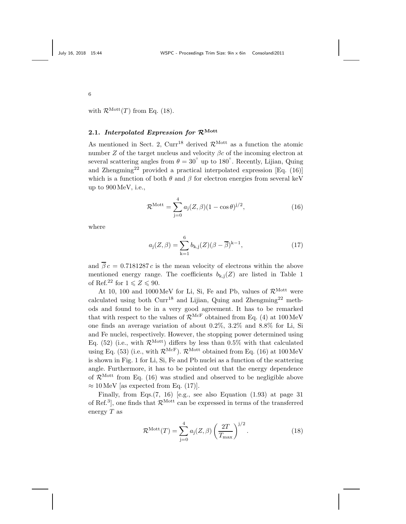with  $\mathcal{R}^{\text{Mott}}(T)$  from Eq. (18).

# 2.1. Interpolated Expression for  $\mathcal{R}^{\text{Mott}}$

As mentioned in Sect. 2, Curr<sup>18</sup> derived  $\mathcal{R}^{\text{Mott}}$  as a function the atomic number  $Z$  of the target nucleus and velocity  $\beta c$  of the incoming electron at several scattering angles from  $\theta = 30^{\circ}$  up to 180°. Recently, Lijian, Quing and Zhengming<sup>22</sup> provided a practical interpolated expression [Eq.  $(16)$ ] which is a function of both  $\theta$  and  $\beta$  for electron energies from several keV up to 900MeV, i.e.,

$$
\mathcal{R}^{\text{Mott}} = \sum_{j=0}^{4} a_j (Z, \beta) (1 - \cos \theta)^{j/2}, \qquad (16)
$$

where

$$
a_{j}(Z,\beta) = \sum_{k=1}^{6} b_{k,j}(Z)(\beta - \overline{\beta})^{k-1},
$$
\n(17)

and  $\overline{\beta} c = 0.7181287 c$  is the mean velocity of electrons within the above mentioned energy range. The coefficients  $b_{k,i}(Z)$  are listed in Table 1 of Ref.<sup>22</sup> for  $1 \leqslant Z \leqslant 90$ .

At 10, 100 and 1000 MeV for Li, Si, Fe and Pb, values of  $\mathcal{R}^{\text{Mott}}$  were calculated using both  $\text{Curr}^{18}$  and Lijian, Quing and Zhengming<sup>22</sup> methods and found to be in a very good agreement. It has to be remarked that with respect to the values of  $\mathcal{R}^{\text{McF}}$  obtained from Eq. (4) at 100 MeV one finds an average variation of about 0.2%, 3.2% and 8.8% for Li, Si and Fe nuclei, respectively. However, the stopping power determined using Eq. (52) (i.e., with  $\mathcal{R}^{\text{Mott}}$ ) differs by less than 0.5% with that calculated using Eq. (53) (i.e., with  $\mathcal{R}^{\text{McF}}$ ).  $\mathcal{R}^{\text{Mott}}$  obtained from Eq. (16) at 100 MeV is shown in Fig. 1 for Li, Si, Fe and Pb nuclei as a function of the scattering angle. Furthermore, it has to be pointed out that the energy dependence of  $\mathcal{R}^{\text{Mott}}$  from Eq. (16) was studied and observed to be negligible above  $\approx 10 \,\text{MeV}$  [as expected from Eq. (17)].

Finally, from Eqs.(7, 16) [e.g., see also Equation (1.93) at page 31 of Ref.<sup>3</sup>, one finds that  $\mathcal{R}^{\text{Mott}}$  can be expressed in terms of the transferred energy  $T$  as

$$
\mathcal{R}^{\text{Mott}}(T) = \sum_{j=0}^{4} a_j(Z,\beta) \left(\frac{2T}{T_{\text{max}}}\right)^{j/2}.
$$
 (18)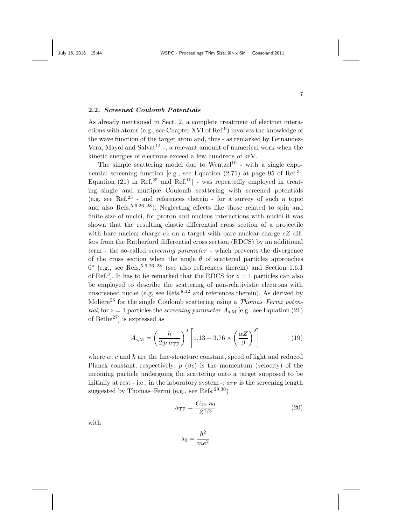# 2.2. Screened Coulomb Potentials

As already mentioned in Sect. 2, a complete treatment of electron interactions with atoms (e.g., see Chapter XVI of  $Ref.<sup>9</sup>$ ) involves the knowledge of the wave function of the target atom and, thus - as remarked by Fernandez-Vera, Mayol and Salvat<sup>14</sup> -, a relevant amount of numerical work when the kinetic energies of electrons exceed a few hundreds of keV.

The simple scattering model due to Wentzel<sup>10</sup> - with a single exponential screening function [e.g., see Equation (2.71) at page 95 of Ref.<sup>3</sup>, Equation (21) in Ref.<sup>25</sup> and Ref.<sup>10</sup>] - was repeatedly employed in treating single and multiple Coulomb scattering with screened potentials (e.g, see Ref.<sup>25</sup> - and references therein - for a survey of such a topic and also Refs.<sup>5,6,26–28</sup>). Neglecting effects like those related to spin and finite size of nuclei, for proton and nucleus interactions with nuclei it was shown that the resulting elastic differential cross section of a projectile with bare nuclear-charge  $ez$  on a target with bare nuclear-charge  $eZ$  differs from the Rutherford differential cross section (RDCS) by an additional term - the so-called screening parameter - which prevents the divergence of the cross section when the angle  $\theta$  of scattered particles approaches  $0^{\circ}$  [e.g., see Refs.<sup>5,6,26–28</sup> (see also references therein) and Section 1.6.1 of Ref.<sup>3</sup>. It has to be remarked that the RDCS for  $z = 1$  particles can also be employed to describe the scattering of non-relativistic electrons with unscreened nuclei (e.g, see Refs.<sup>8,12</sup> and references therein). As derived by Molière<sup>26</sup> for the single Coulomb scattering using a *Thomas–Fermi poten*tial, for  $z = 1$  particles the *screening parameter*  $A_{s,M}$  [e.g., see Equation (21) of Bethe<sup>27</sup> is expressed as

$$
A_{\rm s,M} = \left(\frac{\hbar}{2\,p\,a_{\rm TF}}\right)^2 \left[1.13 + 3.76 \times \left(\frac{\alpha Z}{\beta}\right)^2\right] \tag{19}
$$

where  $\alpha$ , c and  $\hbar$  are the fine-structure constant, speed of light and reduced Planck constant, respectively;  $p(\beta c)$  is the momentum (velocity) of the incoming particle undergoing the scattering onto a target supposed to be initially at rest - i.e., in the laboratory system -;  $a_{\text{TF}}$  is the screening length suggested by Thomas–Fermi (e.g., see Refs.<sup>29,30</sup>)

$$
a_{\rm TF} = \frac{C_{\rm TF} a_0}{Z^{1/3}}\tag{20}
$$

with

$$
a_0 = \frac{\hbar^2}{me^2}
$$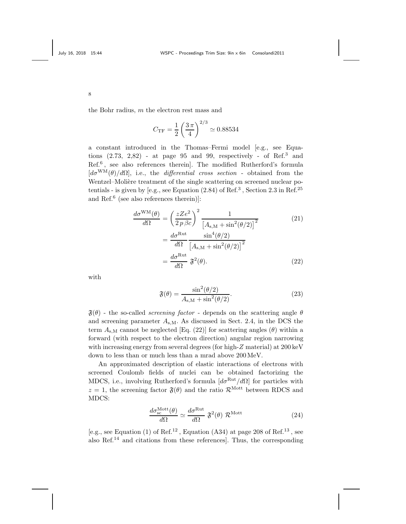the Bohr radius, m the electron rest mass and

$$
C_{\rm TF} = \frac{1}{2} \left( \frac{3 \pi}{4} \right)^{2/3} \simeq 0.88534
$$

a constant introduced in the Thomas–Fermi model [e.g., see Equations  $(2.73, 2.82)$  - at page 95 and 99, respectively - of Ref.<sup>3</sup> and Ref.<sup>6</sup> , see also references therein]. The modified Rutherford's formula  $[d\sigma^{WM}(\theta)/d\Omega]$ , i.e., the *differential cross section* - obtained from the Wentzel–Molière treatment of the single scattering on screened nuclear potentials - is given by [e.g., see Equation  $(2.84)$  of Ref.<sup>3</sup>, Section 2.3 in Ref.<sup>25</sup> and Ref.<sup>6</sup> (see also references therein)]:

$$
\frac{d\sigma^{WM}(\theta)}{d\Omega} = \left(\frac{zZe^2}{2p\beta c}\right)^2 \frac{1}{\left[A_{s,M} + \sin^2(\theta/2)\right]^2}
$$
(21)  

$$
\frac{d\sigma^{Rut}}{\sin^4(\theta/2)}
$$

$$
= \frac{d\sigma}{d\Omega} \frac{\tan(\theta/2)}{[A_{s,M} + \sin^2(\theta/2)]^2}
$$

$$
= \frac{d\sigma^{Rut}}{d\Omega} \mathfrak{F}^2(\theta).
$$
(22)

with

$$
\mathfrak{F}(\theta) = \frac{\sin^2(\theta/2)}{A_{\mathrm{s,M}} + \sin^2(\theta/2)}.\tag{23}
$$

 $\mathfrak{F}(\theta)$  - the so-called *screening factor* - depends on the scattering angle  $\theta$ and screening parameter  $A_{s,M}$ . As discussed in Sect. 2.4, in the DCS the term  $A_{s,M}$  cannot be neglected [Eq. (22)] for scattering angles ( $\theta$ ) within a forward (with respect to the electron direction) angular region narrowing with increasing energy from several degrees (for high-Z material) at 200 keV down to less than or much less than a mrad above 200MeV.

An approximated description of elastic interactions of electrons with screened Coulomb fields of nuclei can be obtained factorizing the MDCS, i.e., involving Rutherford's formula  $[d\sigma^{\text{Rut}}/d\Omega]$  for particles with  $z = 1$ , the screening factor  $\mathfrak{F}(\theta)$  and the ratio  $\mathcal{R}^{\text{Mott}}$  between RDCS and MDCS:

$$
\frac{d\sigma_{\rm sc}^{\rm Mott}(\theta)}{d\Omega} \simeq \frac{d\sigma^{\rm Rut}}{d\Omega} \mathfrak{F}^2(\theta) \mathcal{R}^{\rm Mott} \tag{24}
$$

[e.g., see Equation (1) of Ref.<sup>12</sup>, Equation (A34) at page 208 of Ref.<sup>13</sup>, see also Ref.<sup>14</sup> and citations from these references]. Thus, the corresponding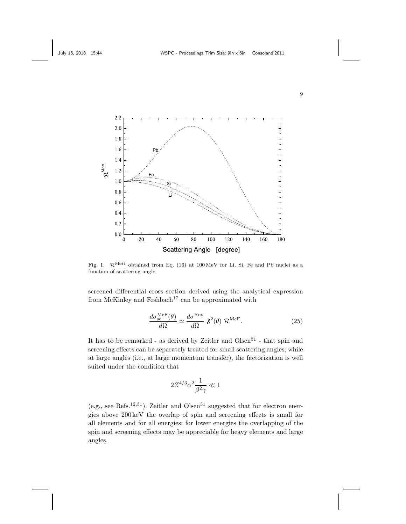



Fig. 1.  $\mathcal{R}^{\text{Mott}}$  obtained from Eq. (16) at 100 MeV for Li, Si, Fe and Pb nuclei as a function of scattering angle.

screened differential cross section derived using the analytical expression from McKinley and Feshbach<sup>17</sup> can be approximated with

$$
\frac{d\sigma_{\rm sc}^{\rm McF}(\theta)}{d\Omega} \simeq \frac{d\sigma^{\rm Rut}}{d\Omega} \mathfrak{F}^2(\theta) \mathcal{R}^{\rm McF}.
$$
 (25)

It has to be remarked - as derived by Zeitler and  $O(s<sup>31</sup> - that spin and)$ screening effects can be separately treated for small scattering angles; while at large angles (i.e., at large momentum transfer), the factorization is well suited under the condition that

$$
2Z^{4/3}\alpha^2\frac{1}{\beta^2\gamma}\ll 1
$$

(e.g., see Refs.<sup>12,31</sup>). Zeitler and Olsen<sup>31</sup> suggested that for electron energies above 200 keV the overlap of spin and screening effects is small for all elements and for all energies; for lower energies the overlapping of the spin and screening effects may be appreciable for heavy elements and large angles.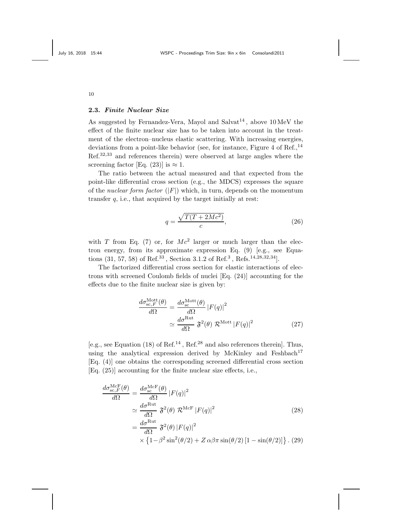# 2.3. Finite Nuclear Size

As suggested by Fernandez-Vera, Mayol and Salvat<sup>14</sup>, above  $10 \,\text{MeV}$  the effect of the finite nuclear size has to be taken into account in the treatment of the electron–nucleus elastic scattering. With increasing energies, deviations from a point-like behavior (see, for instance, Figure 4 of Ref.,  $^{14}$ Ref.32,33 and references therein) were observed at large angles where the screening factor [Eq. (23)] is  $\approx 1$ .

The ratio between the actual measured and that expected from the point-like differential cross section (e.g., the MDCS) expresses the square of the nuclear form factor  $(|F|)$  which, in turn, depends on the momentum transfer q, i.e., that acquired by the target initially at rest:

$$
q = \frac{\sqrt{T(T + 2Mc^2)}}{c},\tag{26}
$$

with T from Eq. (7) or, for  $Mc^2$  larger or much larger than the electron energy, from its approximate expression Eq. (9) [e.g., see Equations  $(31, 57, 58)$  of Ref.<sup>33</sup>, Section 3.1.2 of Ref.<sup>3</sup>, Refs.<sup>14,28,32,34</sup>.

The factorized differential cross section for elastic interactions of electrons with screened Coulomb fields of nuclei [Eq. (24)] accounting for the effects due to the finite nuclear size is given by:

$$
\frac{d\sigma_{\rm sc,F}^{\rm Mott}(\theta)}{d\Omega} = \frac{d\sigma_{\rm sc}^{\rm Mott}(\theta)}{d\Omega} |F(q)|^2
$$

$$
\simeq \frac{d\sigma_{\rm Rut}^{\rm Rut}}{d\Omega} \mathfrak{F}^2(\theta) \mathcal{R}^{\rm Mott} |F(q)|^2
$$
(27)

[e.g., see Equation (18) of Ref.<sup>14</sup>, Ref.<sup>28</sup> and also references therein]. Thus, using the analytical expression derived by McKinley and Feshbach<sup>17</sup> [Eq. (4)] one obtains the corresponding screened differential cross section [Eq. (25)] accounting for the finite nuclear size effects, i.e.,

$$
\frac{d\sigma_{\text{sc},F}^{\text{McF}}(\theta)}{d\Omega} = \frac{d\sigma_{\text{sc}}^{\text{McF}}(\theta)}{d\Omega} |F(q)|^2
$$
\n
$$
\simeq \frac{d\sigma_{\text{cut}}^{\text{Rut}}}{d\Omega} \mathfrak{F}^2(\theta) \mathcal{R}^{\text{McF}} |F(q)|^2
$$
\n
$$
= \frac{d\sigma_{\text{cut}}^{\text{Rut}}}{d\Omega} \mathfrak{F}^2(\theta) |F(q)|^2
$$
\n
$$
\times \left\{1 - \beta^2 \sin^2(\theta/2) + Z \alpha \beta \pi \sin(\theta/2) [1 - \sin(\theta/2)] \right\}. (29)
$$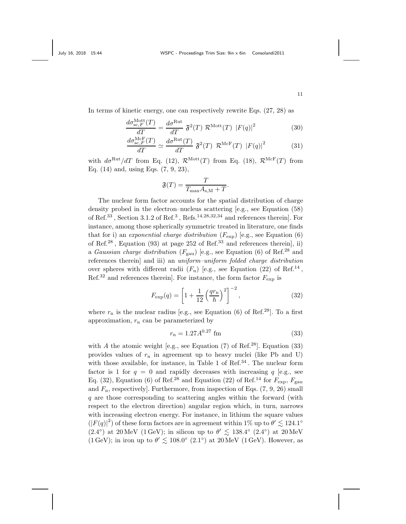In terms of kinetic energy, one can respectively rewrite Eqs. (27, 28) as

$$
\frac{d\sigma_{\text{sc},F}^{\text{Mott}}(T)}{dT} = \frac{d\sigma^{\text{Rut}}}{dT} \mathfrak{F}^2(T) \mathcal{R}^{\text{Mott}}(T) |F(q)|^2
$$
(30)

$$
\frac{d\sigma_{\rm sc,F}^{\rm McF}(T)}{dT} \simeq \frac{d\sigma^{\rm Rut}(T)}{dT} \mathfrak{F}^2(T) \mathcal{R}^{\rm McF}(T) |F(q)|^2 \tag{31}
$$

with  $d\sigma^{\text{Rut}}/dT$  from Eq. (12),  $\mathcal{R}^{\text{Mott}}(T)$  from Eq. (18),  $\mathcal{R}^{\text{McF}}(T)$  from Eq. (14) and, using Eqs. (7, 9, 23),

$$
\mathfrak{F}(T) = \frac{T}{T_{\text{max}} A_{\text{s,M}} + T}.
$$

The nuclear form factor accounts for the spatial distribution of charge density probed in the electron–nucleus scattering [e.g., see Equation (58) of Ref.<sup>33</sup>, Section 3.1.2 of Ref.<sup>3</sup>, Refs.<sup>14,28,32,34</sup> and references therein]. For instance, among those spherically symmetric treated in literature, one finds that for i) an exponential charge distribution  $(F_{\exp})$  [e.g., see Equation (6) of Ref.<sup>28</sup>, Equation (93) at page 252 of Ref.<sup>33</sup> and references therein, ii) a Gaussian charge distribution ( $F_{\text{gau}}$ ) [e.g., see Equation (6) of Ref.<sup>28</sup> and references therein] and iii) an uniform–uniform folded charge distribution over spheres with different radii  $(F_u)$  [e.g., see Equation (22) of Ref.<sup>14</sup>, Ref.<sup>32</sup> and references therein]. For instance, the form factor  $F_{\text{exp}}$  is

$$
F_{\exp}(q) = \left[1 + \frac{1}{12} \left(\frac{qr_n}{\hbar}\right)^2\right]^{-2},
$$
\n(32)

where  $r_n$  is the nuclear radius [e.g., see Equation (6) of Ref.<sup>28</sup>]. To a first approximation,  $r_n$  can be parameterized by

$$
r_{\rm n} = 1.27 A^{0.27} \text{ fm} \tag{33}
$$

with A the atomic weight [e.g., see Equation  $(7)$  of Ref.<sup>28</sup>]. Equation (33) provides values of  $r_n$  in agreement up to heavy nuclei (like Pb and U) with those available, for instance, in Table 1 of  $\text{Ref.}^{34}$ . The nuclear form factor is 1 for  $q = 0$  and rapidly decreases with increasing q [e.g., see Eq. (32), Equation (6) of Ref.<sup>28</sup> and Equation (22) of Ref.<sup>14</sup> for  $F_{\rm exp}$ ,  $F_{\rm gau}$ and  $F_u$ , respectively]. Furthermore, from inspection of Eqs.  $(7, 9, 26)$  small  $q$  are those corresponding to scattering angles within the forward (with respect to the electron direction) angular region which, in turn, narrows with increasing electron energy. For instance, in lithium the square values  $(|F(q)|^2)$  of these form factors are in agreement within 1% up to  $\theta' \lesssim 124.1^{\circ}$  $(2.4^{\circ})$  at 20 MeV (1 GeV); in silicon up to  $\theta' \lesssim 138.4^{\circ}$  (2.4°) at 20 MeV (1 GeV); in iron up to  $\theta' \lesssim 108.0^{\circ}$  (2.1°) at 20 MeV (1 GeV). However, as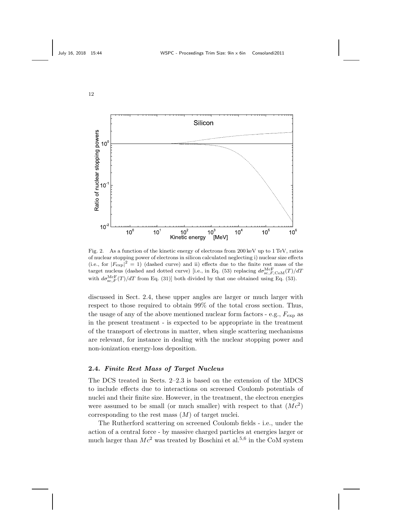



Fig. 2. As a function of the kinetic energy of electrons from 200 keV up to 1 TeV, ratios of nuclear stopping power of electrons in silicon calculated neglecting i) nuclear size effects (i.e., for  $|F_{\rm exp}|^2 = 1$ ) (dashed curve) and ii) effects due to the finite rest mass of the target nucleus (dashed and dotted curve) [i.e., in Eq. (53) replacing  $d\sigma_{\rm sc, F, CoM}^{\rm McF}(T)/dT$ with  $d\sigma_{\text{sc},F}^{\text{McF}}(T)/dT$  from Eq. (31)] both divided by that one obtained using Eq. (53).

discussed in Sect. 2.4, these upper angles are larger or much larger with respect to those required to obtain 99% of the total cross section. Thus, the usage of any of the above mentioned nuclear form factors - e.g.,  $F_{\text{exp}}$  as in the present treatment - is expected to be appropriate in the treatment of the transport of electrons in matter, when single scattering mechanisms are relevant, for instance in dealing with the nuclear stopping power and non-ionization energy-loss deposition.

# 2.4. Finite Rest Mass of Target Nucleus

The DCS treated in Sects. 2–2.3 is based on the extension of the MDCS to include effects due to interactions on screened Coulomb potentials of nuclei and their finite size. However, in the treatment, the electron energies were assumed to be small (or much smaller) with respect to that  $(Mc^2)$ corresponding to the rest mass  $(M)$  of target nuclei.

The Rutherford scattering on screened Coulomb fields - i.e., under the action of a central force - by massive charged particles at energies larger or much larger than  $Mc^2$  was treated by Boschini et al.<sup>5,6</sup> in the CoM system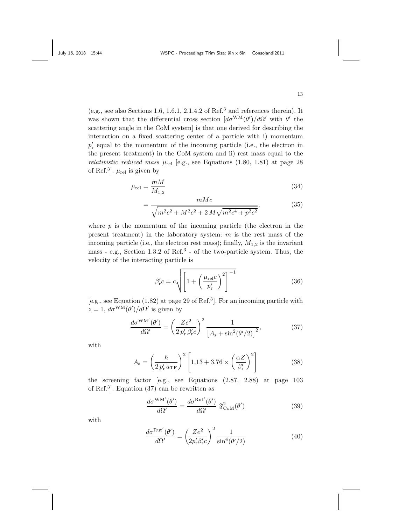(e.g., see also Sections 1.6, 1.6.1, 2.1.4.2 of Ref.<sup>3</sup> and references therein). It was shown that the differential cross section  $\left[ d\sigma^{WM}(\theta')/d\Omega'$  with  $\theta'$  the scattering angle in the CoM system] is that one derived for describing the interaction on a fixed scattering center of a particle with i) momentum  $p'_r$  equal to the momentum of the incoming particle (i.e., the electron in the present treatment) in the CoM system and ii) rest mass equal to the *relativistic reduced mass*  $\mu_{rel}$  [e.g., see Equations (1.80, 1.81) at page 28 of Ref.<sup>3</sup>].  $\mu_{rel}$  is given by

$$
\mu_{\rm rel} = \frac{mM}{M_{1,2}}\tag{34}
$$

$$
=\frac{mMc}{\sqrt{m^2c^2 + M^2c^2 + 2M\sqrt{m^2c^4 + p^2c^2}}},\tag{35}
$$

where  $p$  is the momentum of the incoming particle (the electron in the present treatment) in the laboratory system:  $m$  is the rest mass of the incoming particle (i.e., the electron rest mass); finally,  $M_{1,2}$  is the invariant mass - e.g., Section 1.3.2 of Ref.<sup>3</sup> - of the two-particle system. Thus, the velocity of the interacting particle is

$$
\beta_{\rm r}'c = c \sqrt{\left[1 + \left(\frac{\mu_{\rm rel}c}{p_{\rm r}'}\right)^2\right]^{-1}}\tag{36}
$$

 $[e.g., see Equation (1.82) at page 29 of Ref.<sup>3</sup>$ . For an incoming particle with  $z = 1, d\sigma^{WM}(\theta')/d\Omega'$  is given by

$$
\frac{d\sigma^{WM'}(\theta')}{d\Omega'} = \left(\frac{Ze^2}{2\,p'_r\,\beta'_r c}\right)^2 \frac{1}{\left[A_s + \sin^2(\theta'/2)\right]^2},\tag{37}
$$

with

$$
A_{\rm s} = \left(\frac{\hbar}{2\,p_{\rm r}'\,a_{\rm TF}}\right)^2 \left[1.13 + 3.76 \times \left(\frac{\alpha Z}{\beta_{\rm r}'}\right)^2\right] \tag{38}
$$

the screening factor [e.g., see Equations (2.87, 2.88) at page 103 of Ref.<sup>3</sup> ]. Equation (37) can be rewritten as

$$
\frac{d\sigma^{WM'}(\theta')}{d\Omega'} = \frac{d\sigma^{Rut'}(\theta')}{d\Omega'} \mathfrak{F}_{\text{CoM}}^2(\theta') \tag{39}
$$

with

$$
\frac{d\sigma^{\text{Rut}'}(\theta')}{d\Omega'} = \left(\frac{Ze^2}{2p'_r\beta'_r c}\right)^2 \frac{1}{\sin^4(\theta'/2)}\tag{40}
$$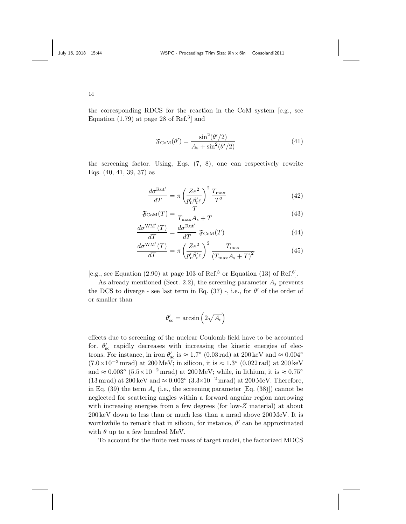the corresponding RDCS for the reaction in the CoM system [e.g., see Equation  $(1.79)$  at page 28 of Ref.<sup>3</sup> and

$$
\mathfrak{F}_{\text{CoM}}(\theta') = \frac{\sin^2(\theta'/2)}{A_s + \sin^2(\theta'/2)}\tag{41}
$$

the screening factor. Using, Eqs. (7, 8), one can respectively rewrite Eqs. (40, 41, 39, 37) as

$$
\frac{d\sigma^{\text{Rut}'} }{dT} = \pi \left(\frac{Ze^2}{p'_r \beta'_r c}\right)^2 \frac{T_{\text{max}}}{T^2}
$$
\n(42)

$$
\mathfrak{F}_{\text{CoM}}(T) = \frac{T}{T_{\text{max}} A_s + T} \tag{43}
$$

$$
\frac{d\sigma^{WM'}(T)}{dT} = \frac{d\sigma^{Rut'}}{dT} \mathfrak{F}_{\text{CoM}}(T)
$$
\n(44)

$$
\frac{d\sigma^{WM'}(T)}{dT} = \pi \left(\frac{Ze^2}{p'_r \beta'_r c}\right)^2 \frac{T_{\text{max}}}{\left(T_{\text{max}} A_s + T\right)^2} \tag{45}
$$

[e.g., see Equation  $(2.90)$  at page 103 of Ref.<sup>3</sup> or Equation  $(13)$  of Ref.<sup>6</sup>].

As already mentioned (Sect. 2.2), the screening parameter  $A_s$  prevents the DCS to diverge - see last term in Eq.  $(37)$  -, i.e., for  $\theta'$  of the order of or smaller than

$$
\theta'_{\rm sc} = \arcsin\left(2\sqrt{A_{\rm s}}\right)
$$

effects due to screening of the nuclear Coulomb field have to be accounted for.  $\theta'_{\rm sc}$  rapidly decreases with increasing the kinetic energies of electrons. For instance, in iron  $\theta_{\rm sc}'$  is  $\approx 1.7^{\circ}$  (0.03 rad) at 200 keV and  $\approx 0.004^{\circ}$  $(7.0 \times 10^{-2} \text{ mrad})$  at 200 MeV; in silicon, it is  $\approx 1.3^{\circ}$  (0.022 rad) at 200 keV and  $\approx 0.003^{\circ}$  (5.5×10<sup>-2</sup> mrad) at 200 MeV; while, in lithium, it is  $\approx 0.75^{\circ}$ (13 mrad) at 200 keV and  $\approx 0.002^{\circ}$  (3.3×10<sup>-2</sup> mrad) at 200 MeV. Therefore, in Eq.  $(39)$  the term  $A<sub>s</sub>$  (i.e., the screening parameter [Eq.  $(38)$ ]) cannot be neglected for scattering angles within a forward angular region narrowing with increasing energies from a few degrees (for low-Z material) at about 200 keV down to less than or much less than a mrad above 200MeV. It is worthwhile to remark that in silicon, for instance,  $\theta'$  can be approximated with  $\theta$  up to a few hundred MeV.

To account for the finite rest mass of target nuclei, the factorized MDCS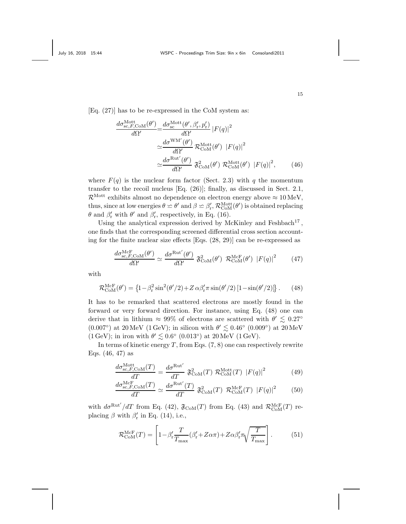[Eq. (27)] has to be re-expressed in the CoM system as:

$$
\frac{d\sigma_{\text{sc},F,\text{CoM}}^{\text{Mott}}(\theta')}{d\Omega'} = \frac{d\sigma_{\text{sc}}^{\text{Mott}}(\theta', \beta'_{\text{r}}, p'_{\text{r}})}{d\Omega'} |F(q)|^2
$$

$$
\simeq \frac{d\sigma^{\text{WM}'}(\theta')}{d\Omega'} \mathcal{R}_{\text{CoM}}^{\text{Mott}}(\theta') |F(q)|^2
$$

$$
\simeq \frac{d\sigma^{\text{Rut}'}(\theta')}{d\Omega'} \mathfrak{F}_{\text{CoM}}^2(\theta') \mathcal{R}_{\text{CoM}}^{\text{Mott}}(\theta') |F(q)|^2, \qquad (46)
$$

where  $F(q)$  is the nuclear form factor (Sect. 2.3) with q the momentum transfer to the recoil nucleus [Eq. (26)]; finally, as discussed in Sect. 2.1,  $\mathcal{R}^{\text{Mott}}$  exhibits almost no dependence on electron energy above  $\approx 10 \text{ MeV}$ , thus, since at low energies  $\theta \simeq \theta'$  and  $\beta \simeq \beta'_r$ ,  $\mathcal{R}_{\text{CoM}}^{\text{Mott}}(\theta')$  is obtained replacing  $\theta$  and  $\beta'_{\rm r}$  with  $\theta'$  and  $\beta'_{\rm r}$ , respectively, in Eq. (16).

Using the analytical expression derived by McKinley and Feshbach<sup>17</sup>, one finds that the corresponding screened differential cross section accounting for the finite nuclear size effects [Eqs. (28, 29)] can be re-expressed as

$$
\frac{d\sigma_{\text{sc},F,\text{CoM}}^{\text{McF}}(\theta')}{d\Omega'} \simeq \frac{d\sigma^{\text{Rut}'}(\theta')}{d\Omega'} \mathfrak{F}_{\text{CoM}}^2(\theta') \mathcal{R}_{\text{CoM}}^{\text{McF}}(\theta') |F(q)|^2 \qquad (47)
$$

with

$$
\mathcal{R}_{\text{CoM}}^{\text{McF}}(\theta') = \left\{1 - \beta_r^2 \sin^2(\theta'/2) + Z \alpha \beta_r' \pi \sin(\theta'/2) \left[1 - \sin(\theta'/2)\right]\right\}.
$$
 (48)

It has to be remarked that scattered electrons are mostly found in the forward or very forward direction. For instance, using Eq. (48) one can derive that in lithium  $\approx 99\%$  of electrons are scattered with  $\theta' \lesssim 0.27$ °  $(0.007°)$  at 20 MeV  $(1 \text{ GeV})$ ; in silicon with  $\theta' \lesssim 0.46° (0.009°)$  at 20 MeV  $(1 \,\text{GeV})$ ; in iron with  $\theta' \lesssim 0.6^{\circ}$   $(0.013^{\circ})$  at  $20 \,\text{MeV}$   $(1 \,\text{GeV})$ .

In terms of kinetic energy  $T$ , from Eqs. (7, 8) one can respectively rewrite Eqs. (46, 47) as

$$
\frac{d\sigma_{\text{sc},F,\text{CoM}}^{\text{Mott}}(T)}{dT} = \frac{d\sigma^{\text{Rut}^{\prime}}}{dT} \mathfrak{F}_{\text{CoM}}^{2}(T) \mathcal{R}_{\text{CoM}}^{\text{Mott}}(T) |F(q)|^{2}
$$
(49)

$$
\frac{d\sigma_{\text{sc},F,\text{CoM}}^{\text{McF}}(T)}{dT} \simeq \frac{d\sigma^{\text{Rut}'}(T)}{dT} \mathfrak{F}_{\text{CoM}}^2(T) \mathcal{R}_{\text{CoM}}^{\text{McF}}(T) |F(q)|^2 \qquad (50)
$$

with  $d\sigma^{\text{Rut}}/dT$  from Eq. (42),  $\mathfrak{F}_{\text{CoM}}(T)$  from Eq. (43) and  $\mathcal{R}_{\text{CoM}}^{\text{McF}}(T)$  replacing  $\beta$  with  $\beta'_{\rm r}$  in Eq. (14), i.e.,

$$
\mathcal{R}_{\text{CoM}}^{\text{McF}}(T) = \left[1 - \beta_{\text{r}}' \frac{T}{T_{\text{max}}} (\beta_{\text{r}}' + Z\alpha\pi) + Z\alpha\beta_{\text{r}}' \pi \sqrt{\frac{T}{T_{\text{max}}}}\right].
$$
 (51)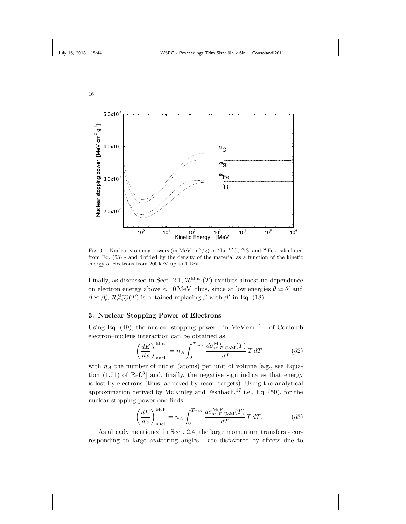



Fig. 3. Nuclear stopping powers (in MeV cm<sup>2</sup>/g) in <sup>7</sup>Li, <sup>12</sup>C, <sup>28</sup>Si and <sup>56</sup>Fe - calculated from Eq. (53) - and divided by the density of the material as a function of the kinetic energy of electrons from 200 keV up to 1 TeV.

Finally, as discussed in Sect. 2.1,  $\mathcal{R}^{\text{Mott}}(T)$  exhibits almost no dependence on electron energy above  $\approx 10 \,\text{MeV}$ , thus, since at low energies  $\theta \simeq \theta'$  and  $\beta \simeq \beta_{\rm r}', \mathcal{R}_{\rm CoM}^{\rm Mott}(T)$  is obtained replacing  $\beta$  with  $\beta_{\rm r}'$  in Eq. (18).

### 3. Nuclear Stopping Power of Electrons

Using Eq. (49), the nuclear stopping power - in MeV cm<sup>-1</sup> - of Coulomb electron–nucleus interaction can be obtained as

$$
-\left(\frac{dE}{dx}\right)_{\text{nucl}}^{\text{Mott}} = n_A \int_0^{T_{\text{max}}} \frac{d\sigma_{\text{sc},F,\text{CoM}}^{\text{Mott}}(T)}{dT} T dT \tag{52}
$$

with  $n_A$  the number of nuclei (atoms) per unit of volume [e.g., see Equation  $(1.71)$  of Ref.<sup>3</sup>] and, finally, the negative sign indicates that energy is lost by electrons (thus, achieved by recoil targets). Using the analytical approximation derived by McKinley and Feshbach, $^{17}$  i.e., Eq. (50), for the nuclear stopping power one finds

$$
-\left(\frac{dE}{dx}\right)_{\text{nucl}}^{\text{McF}} = n_A \int_0^{T_{\text{max}}} \frac{d\sigma_{\text{sc},F,\text{CoM}}^{\text{McF}}(T)}{dT} T dT.
$$
 (53)

As already mentioned in Sect. 2.4, the large momentum transfers - corresponding to large scattering angles - are disfavored by effects due to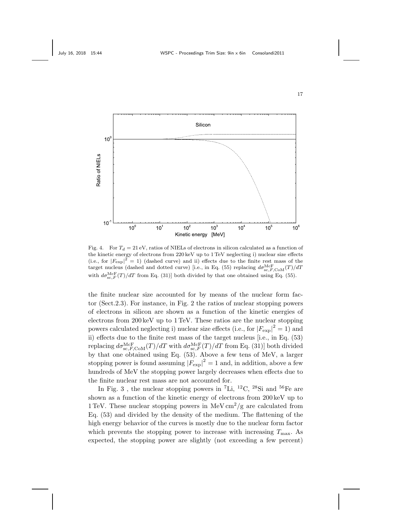

Fig. 4. For  $T_d = 21$  eV, ratios of NIELs of electrons in silicon calculated as a function of the kinetic energy of electrons from 220 keV up to 1 TeV neglecting i) nuclear size effects (i.e., for  $|F_{\text{exp}}|^2 = 1$ ) (dashed curve) and ii) effects due to the finite rest mass of the target nucleus (dashed and dotted curve) [i.e., in Eq. (55) replacing  $d\sigma_{\rm sc, F, CoM}^{\rm McF}(T)/dT$ with  $d\sigma_{\text{sc},F}^{\text{McF}}(T)/dT$  from Eq. (31)] both divided by that one obtained using Eq. (55).

the finite nuclear size accounted for by means of the nuclear form factor (Sect.2.3). For instance, in Fig. 2 the ratios of nuclear stopping powers of electrons in silicon are shown as a function of the kinetic energies of electrons from 200 keV up to 1 TeV. These ratios are the nuclear stopping powers calculated neglecting i) nuclear size effects (i.e., for  $|F_{\text{exp}}|^2 = 1$ ) and ii) effects due to the finite rest mass of the target nucleus [i.e., in Eq. (53) replacing  $d\sigma_{\rm sc,F,CoM}^{\rm McF}(T)/dT$  with  $d\sigma_{\rm sc,F}^{\rm McF}(T)/dT$  from Eq. (31)] both divided by that one obtained using Eq. (53). Above a few tens of MeV, a larger stopping power is found assuming  $|F_{\text{exp}}|^2 = 1$  and, in addition, above a few hundreds of MeV the stopping power largely decreases when effects due to the finite nuclear rest mass are not accounted for.

In Fig. 3 , the nuclear stopping powers in  $^7$ Li,  $^{12}$ C,  $^{28}$ Si and  $^{56}$ Fe are shown as a function of the kinetic energy of electrons from 200 keV up to 1 TeV. These nuclear stopping powers in MeV  $\text{cm}^2/\text{g}$  are calculated from Eq. (53) and divided by the density of the medium. The flattening of the high energy behavior of the curves is mostly due to the nuclear form factor which prevents the stopping power to increase with increasing  $T_{\text{max}}$ . As expected, the stopping power are slightly (not exceeding a few percent)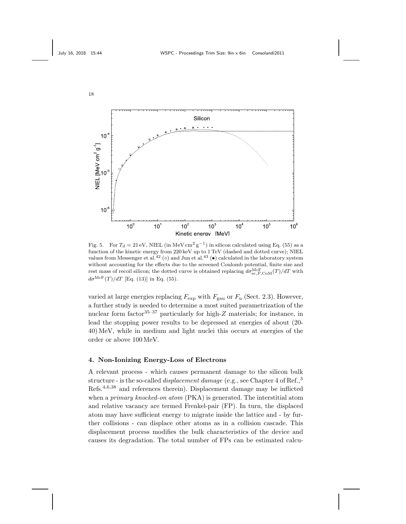



Fig. 5. For  $T_d = 21 \text{ eV}$ , NIEL (in MeV cm<sup>2</sup> g<sup>-1</sup>) in silicon calculated using Eq. (55) as a function of the kinetic energy from 220 keV up to 1 TeV (dashed and dotted curve); NIEL values from Messenger et al.<sup>42</sup> (○) and Jun et al.<sup>43</sup> (●) calculated in the laboratory system without accounting for the effects due to the screened Coulomb potential, finite size and rest mass of recoil silicon; the dotted curve is obtained replacing  $d\sigma_{\rm sc, F, CoM}^{\rm McF}(T)/dT$  with  $d\sigma^{\rm McF}(T)/dT$  [Eq. (13)] in Eq. (55).

varied at large energies replacing  $F_{\text{exp}}$  with  $F_{\text{gau}}$  or  $F_{\text{u}}$  (Sect. 2.3). However, a further study is needed to determine a most suited parametrization of the nuclear form factor  $35-37$  particularly for high-Z materials; for instance, in lead the stopping power results to be depressed at energies of about (20- 40) MeV, while in medium and light nuclei this occurs at energies of the order or above 100 MeV.

# 4. Non-Ionizing Energy-Loss of Electrons

A relevant process - which causes permanent damage to the silicon bulk structure - is the so-called *displacement damage* (e.g., see Chapter 4 of Ref.,<sup>3</sup> Refs.4,6,38 and references therein). Displacement damage may be inflicted when a *primary knocked-on atom* (PKA) is generated. The interstitial atom and relative vacancy are termed Frenkel-pair (FP). In turn, the displaced atom may have sufficient energy to migrate inside the lattice and - by further collisions - can displace other atoms as in a collision cascade. This displacement process modifies the bulk characteristics of the device and causes its degradation. The total number of FPs can be estimated calcu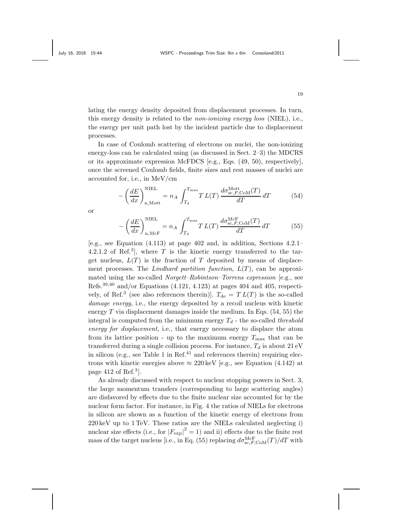lating the energy density deposited from displacement processes. In turn, this energy density is related to the non-ionizing energy loss (NIEL), i.e., the energy per unit path lost by the incident particle due to displacement processes.

In case of Coulomb scattering of electrons on nuclei, the non-ionizing energy-loss can be calculated using (as discussed in Sect. 2–3) the MDCRS or its approximate expression McFDCS [e.g., Eqs. (49, 50), respectively], once the screened Coulomb fields, finite sizes and rest masses of nuclei are accounted for, i.e., in MeV/cm

$$
-\left(\frac{dE}{dx}\right)_{n,\text{Mott}}^{\text{NIEL}} = n_A \int_{T_d}^{T_{\text{max}}} T L(T) \frac{d\sigma_{\text{sc},F,\text{CoM}}^{\text{Mott}}(T)}{dT} dT \tag{54}
$$

or

$$
-\left(\frac{dE}{dx}\right)_{\text{n,McF}}^{\text{NIEL}} = n_A \int_{T_d}^{T_{\text{max}}} T L(T) \frac{d\sigma_{\text{sc},F,\text{CoM}}^{\text{McF}}(T)}{dT} dT \tag{55}
$$

[e.g., see Equation (4.113) at page 402 and, in addition, Sections 4.2.1– 4.2.1.2 of Ref.<sup>3</sup>, where  $T$  is the kinetic energy transferred to the target nucleus,  $L(T)$  is the fraction of T deposited by means of displacement processes. The Lindhard partition function,  $L(T)$ , can be approximated using the so-called *Norgett–Robintson–Torrens expression* [e.g., see Refs.<sup>39,40</sup> and/or Equations  $(4.121, 4.123)$  at pages 404 and 405, respectively, of Ref.<sup>3</sup> (see also references therein)].  $T_{\text{de}} = T L(T)$  is the so-called damage energy, i.e., the energy deposited by a recoil nucleus with kinetic energy  $T$  via displacement damages inside the medium. In Eqs. (54, 55) the integral is computed from the minimum energy  $T_d$  - the so-called *threshold* energy for displacement, i.e., that energy necessary to displace the atom from its lattice position - up to the maximum energy  $T_{\text{max}}$  that can be transferred during a single collision process. For instance,  $T_d$  is about 21 eV in silicon (e.g., see Table 1 in Ref.<sup>41</sup> and references therein) requiring electrons with kinetic energies above  $\approx 220 \,\text{keV}$  [e.g., see Equation (4.142) at page  $412$  of Ref.<sup>3</sup>].

As already discussed with respect to nuclear stopping powers in Sect. 3, the large momentum transfers (corresponding to large scattering angles) are disfavored by effects due to the finite nuclear size accounted for by the nuclear form factor. For instance, in Fig. 4 the ratios of NIELs for electrons in silicon are shown as a function of the kinetic energy of electrons from 220 keV up to 1 TeV. These ratios are the NIELs calculated neglecting i) nuclear size effects (i.e., for  $|F_{\text{exp}}|^2 = 1$ ) and ii) effects due to the finite rest mass of the target nucleus [i.e., in Eq. (55) replacing  $d\sigma_{\text{sc},F,\text{CoM}}^{\text{McF}}(T)/dT$  with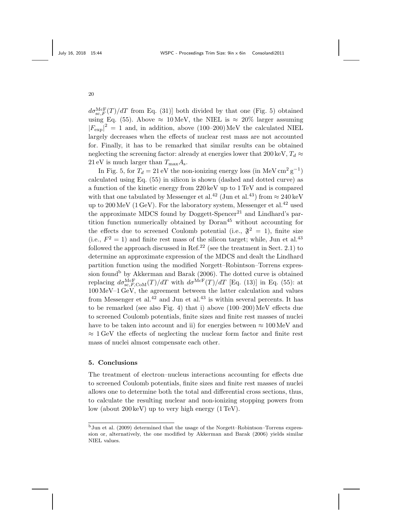$d\sigma_{sc,F}^{\text{McF}}(T)/dT$  from Eq. (31)] both divided by that one (Fig. 5) obtained using Eq. (55). Above  $\approx 10 \,\text{MeV}$ , the NIEL is  $\approx 20\%$  larger assuming  $|F_{\text{exp}}|^2 = 1$  and, in addition, above (100–200)MeV the calculated NIEL largely decreases when the effects of nuclear rest mass are not accounted for. Finally, it has to be remarked that similar results can be obtained neglecting the screening factor: already at energies lower that 200 keV,  $T_d \approx$ 21 eV is much larger than  $T_{\text{max}}A_{\text{s}}$ .

In Fig. 5, for  $T_d = 21 \text{ eV}$  the non-ionizing energy loss (in MeV cm<sup>2</sup> g<sup>-1</sup>) calculated using Eq. (55) in silicon is shown (dashed and dotted curve) as a function of the kinetic energy from 220 keV up to 1 TeV and is compared with that one tabulated by Messenger et al.<sup>42</sup> (Jun et al.<sup>43</sup>) from  $\approx 240 \,\mathrm{keV}$ up to  $200 \,\mathrm{MeV}$  (1 GeV). For the laboratory system, Messenger et al.<sup>42</sup> used the approximate MDCS found by  $Doggett-Spencer<sup>21</sup>$  and Lindhard's partition function numerically obtained by  $Doran<sup>45</sup>$  without accounting for the effects due to screened Coulomb potential (i.e.,  $\mathfrak{F}^2 = 1$ ), finite size (i.e.,  $F^2 = 1$ ) and finite rest mass of the silicon target; while, Jun et al.<sup>43</sup> followed the approach discussed in Ref.<sup>22</sup> (see the treatment in Sect. 2.1) to determine an approximate expression of the MDCS and dealt the Lindhard partition function using the modified Norgett–Robintson–Torrens expression found<sup>b</sup> by Akkerman and Barak (2006). The dotted curve is obtained replacing  $d\sigma_{sc,F,\text{CoM}}^{\text{McF}}(T)/dT$  with  $d\sigma^{\text{McF}}(T)/dT$  [Eq. (13)] in Eq. (55): at  $100 \,\mathrm{MeV-1\,GeV}$ , the agreement between the latter calculation and values from Messenger et al.<sup>42</sup> and Jun et al.<sup>43</sup> is within several percents. It has to be remarked (see also Fig. 4) that i) above  $(100-200)$  MeV effects due to screened Coulomb potentials, finite sizes and finite rest masses of nuclei have to be taken into account and ii) for energies between  $\approx 100 \,\text{MeV}$  and  $\approx 1$  GeV the effects of neglecting the nuclear form factor and finite rest mass of nuclei almost compensate each other.

### 5. Conclusions

The treatment of electron–nucleus interactions accounting for effects due to screened Coulomb potentials, finite sizes and finite rest masses of nuclei allows one to determine both the total and differential cross sections, thus, to calculate the resulting nuclear and non-ionizing stopping powers from low (about 200 keV) up to very high energy (1 TeV).

<sup>b</sup>Jun et al. (2009) determined that the usage of the Norgett–Robintson–Torrens expression or, alternatively, the one modified by Akkerman and Barak (2006) yields similar NIEL values.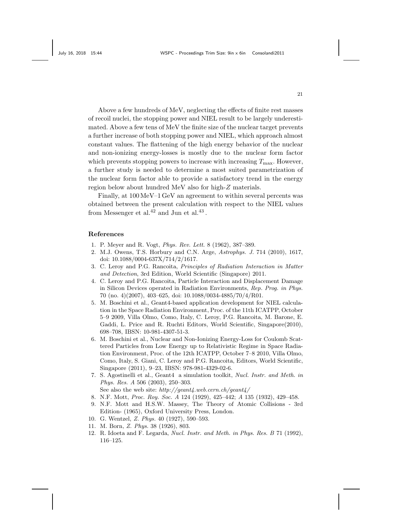Above a few hundreds of MeV, neglecting the effects of finite rest masses of recoil nuclei, the stopping power and NIEL result to be largely underestimated. Above a few tens of MeV the finite size of the nuclear target prevents a further increase of both stopping power and NIEL, which approach almost constant values. The flattening of the high energy behavior of the nuclear and non-ionizing energy-losses is mostly due to the nuclear form factor which prevents stopping powers to increase with increasing  $T_{\text{max}}$ . However, a further study is needed to determine a most suited parametrization of the nuclear form factor able to provide a satisfactory trend in the energy region below about hundred MeV also for high-Z materials.

Finally, at 100MeV–1 GeV an agreement to within several percents was obtained between the present calculation with respect to the NIEL values from Messenger et al.<sup>42</sup> and Jun et al.<sup>43</sup>.

### References

- 1. P. Meyer and R. Vogt, *Phys. Rev. Lett.* 8 (1962), 387–389.
- 2. M.J. Owens, T.S. Horbury and C.N. Arge, *Astrophys. J.* 714 (2010), 1617, doi: 10.1088/0004-637X/714/2/1617.
- 3. C. Leroy and P.G. Rancoita, *Principles of Radiation Interaction in Matter and Detection*, 3rd Edition, World Scientific (Singapore) 2011.
- 4. C. Leroy and P.G. Rancoita, Particle Interaction and Displacement Damage in Silicon Devices operated in Radiation Environments, *Rep. Prog. in Phys.* 70 (no. 4)(2007), 403–625, doi: 10.1088/0034-4885/70/4/R01.
- 5. M. Boschini et al., Geant4-based application development for NIEL calculation in the Space Radiation Environment, Proc. of the 11th ICATPP, October 5–9 2009, Villa Olmo, Como, Italy, C. Leroy, P.G. Rancoita, M. Barone, E. Gaddi, L. Price and R. Ruchti Editors, World Scientific, Singapore(2010), 698–708, IBSN: 10-981-4307-51-3.
- 6. M. Boschini et al., Nuclear and Non-Ionizing Energy-Loss for Coulomb Scattered Particles from Low Energy up to Relativistic Regime in Space Radiation Environment, Proc. of the 12th ICATPP, October 7–8 2010, Villa Olmo, Como, Italy, S. Giani, C. Leroy and P.G. Rancoita, Editors, World Scientific, Singapore (2011), 9–23, IBSN: 978-981-4329-02-6.
- 7. S. Agostinelli et al., Geant4 a simulation toolkit, *Nucl. Instr. and Meth. in Phys. Res. A* 506 (2003), 250–303.

See also the web site: *http://geant4.web.cern.ch/geant4/*

- 8. N.F. Mott, *Proc. Roy. Soc. A* 124 (1929), 425–442; *A* 135 (1932), 429–458.
- 9. N.F. Mott and H.S.W. Massey, The Theory of Atomic Collisions 3rd Edition- (1965), Oxford University Press, London.
- 10. G. Wentzel, *Z. Phys.* 40 (1927), 590–593.
- 11. M. Born, *Z. Phys.* 38 (1926), 803.
- 12. R. Idoeta and F. Legarda, *Nucl. Instr. and Meth. in Phys. Res. B* 71 (1992), 116–125.